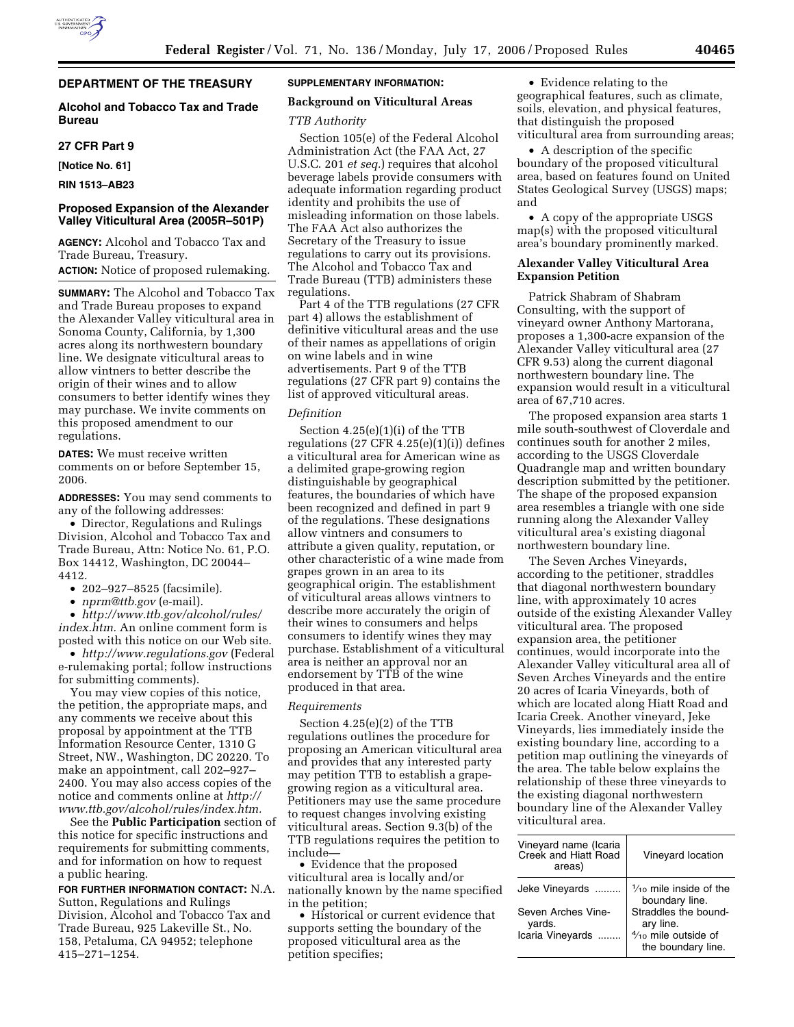# **DEPARTMENT OF THE TREASURY**

## **Alcohol and Tobacco Tax and Trade Bureau**

# **27 CFR Part 9**

**[Notice No. 61]** 

**RIN 1513–AB23** 

## **Proposed Expansion of the Alexander Valley Viticultural Area (2005R–501P)**

**AGENCY:** Alcohol and Tobacco Tax and Trade Bureau, Treasury.

**ACTION:** Notice of proposed rulemaking.

**SUMMARY:** The Alcohol and Tobacco Tax and Trade Bureau proposes to expand the Alexander Valley viticultural area in Sonoma County, California, by 1,300 acres along its northwestern boundary line. We designate viticultural areas to allow vintners to better describe the origin of their wines and to allow consumers to better identify wines they may purchase. We invite comments on this proposed amendment to our regulations.

**DATES:** We must receive written comments on or before September 15, 2006.

**ADDRESSES:** You may send comments to any of the following addresses:

• Director, Regulations and Rulings Division, Alcohol and Tobacco Tax and Trade Bureau, Attn: Notice No. 61, P.O. Box 14412, Washington, DC 20044– 4412.

- 202–927–8525 (facsimile).
- *nprm@ttb.gov* (e-mail).

• *http://www.ttb.gov/alcohol/rules/ index.htm.* An online comment form is posted with this notice on our Web site.

• *http://www.regulations.gov* (Federal e-rulemaking portal; follow instructions for submitting comments).

You may view copies of this notice, the petition, the appropriate maps, and any comments we receive about this proposal by appointment at the TTB Information Resource Center, 1310 G Street, NW., Washington, DC 20220. To make an appointment, call 202–927– 2400. You may also access copies of the notice and comments online at *http:// www.ttb.gov/alcohol/rules/index.htm.* 

See the **Public Participation** section of this notice for specific instructions and requirements for submitting comments, and for information on how to request a public hearing.

**FOR FURTHER INFORMATION CONTACT:** N.A. Sutton, Regulations and Rulings Division, Alcohol and Tobacco Tax and Trade Bureau, 925 Lakeville St., No. 158, Petaluma, CA 94952; telephone 415–271–1254.

## **SUPPLEMENTARY INFORMATION:**

## **Background on Viticultural Areas**

### *TTB Authority*

Section 105(e) of the Federal Alcohol Administration Act (the FAA Act, 27 U.S.C. 201 *et seq.*) requires that alcohol beverage labels provide consumers with adequate information regarding product identity and prohibits the use of misleading information on those labels. The FAA Act also authorizes the Secretary of the Treasury to issue regulations to carry out its provisions. The Alcohol and Tobacco Tax and Trade Bureau (TTB) administers these regulations.

Part 4 of the TTB regulations (27 CFR part 4) allows the establishment of definitive viticultural areas and the use of their names as appellations of origin on wine labels and in wine advertisements. Part 9 of the TTB regulations (27 CFR part 9) contains the list of approved viticultural areas.

### *Definition*

Section 4.25(e)(1)(i) of the TTB regulations (27 CFR 4.25(e)(1)(i)) defines a viticultural area for American wine as a delimited grape-growing region distinguishable by geographical features, the boundaries of which have been recognized and defined in part 9 of the regulations. These designations allow vintners and consumers to attribute a given quality, reputation, or other characteristic of a wine made from grapes grown in an area to its geographical origin. The establishment of viticultural areas allows vintners to describe more accurately the origin of their wines to consumers and helps consumers to identify wines they may purchase. Establishment of a viticultural area is neither an approval nor an endorsement by TTB of the wine produced in that area.

#### *Requirements*

Section 4.25(e)(2) of the TTB regulations outlines the procedure for proposing an American viticultural area and provides that any interested party may petition TTB to establish a grapegrowing region as a viticultural area. Petitioners may use the same procedure to request changes involving existing viticultural areas. Section 9.3(b) of the TTB regulations requires the petition to include—

• Evidence that the proposed viticultural area is locally and/or nationally known by the name specified in the petition;

• Historical or current evidence that supports setting the boundary of the proposed viticultural area as the petition specifies;

• Evidence relating to the geographical features, such as climate, soils, elevation, and physical features, that distinguish the proposed viticultural area from surrounding areas;

• A description of the specific boundary of the proposed viticultural area, based on features found on United States Geological Survey (USGS) maps; and

• A copy of the appropriate USGS map(s) with the proposed viticultural area's boundary prominently marked.

## **Alexander Valley Viticultural Area Expansion Petition**

Patrick Shabram of Shabram Consulting, with the support of vineyard owner Anthony Martorana, proposes a 1,300-acre expansion of the Alexander Valley viticultural area (27 CFR 9.53) along the current diagonal northwestern boundary line. The expansion would result in a viticultural area of 67,710 acres.

The proposed expansion area starts 1 mile south-southwest of Cloverdale and continues south for another 2 miles, according to the USGS Cloverdale Quadrangle map and written boundary description submitted by the petitioner. The shape of the proposed expansion area resembles a triangle with one side running along the Alexander Valley viticultural area's existing diagonal northwestern boundary line.

The Seven Arches Vineyards, according to the petitioner, straddles that diagonal northwestern boundary line, with approximately 10 acres outside of the existing Alexander Valley viticultural area. The proposed expansion area, the petitioner continues, would incorporate into the Alexander Valley viticultural area all of Seven Arches Vineyards and the entire 20 acres of Icaria Vineyards, both of which are located along Hiatt Road and Icaria Creek. Another vineyard, Jeke Vineyards, lies immediately inside the existing boundary line, according to a petition map outlining the vineyards of the area. The table below explains the relationship of these three vineyards to the existing diagonal northwestern boundary line of the Alexander Valley viticultural area.

| Vineyard name (Icaria<br>Creek and Hiatt Road<br>areas) | Vineyard location                                                               |
|---------------------------------------------------------|---------------------------------------------------------------------------------|
| Jeke Vineyards                                          | 1/10 mile inside of the<br>boundary line.                                       |
| Seven Arches Vine-<br>yards.<br>Icaria Vineyards        | Straddles the bound-<br>ary line.<br>1/10 mile outside of<br>the boundary line. |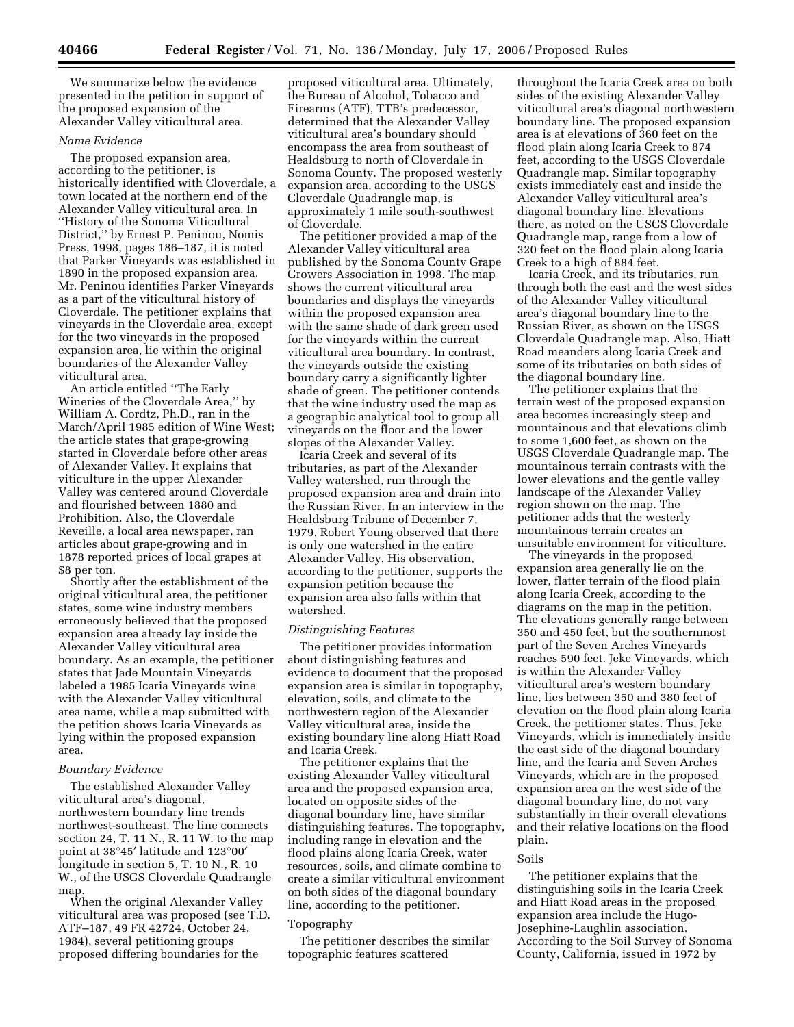We summarize below the evidence presented in the petition in support of the proposed expansion of the Alexander Valley viticultural area.

### *Name Evidence*

The proposed expansion area, according to the petitioner, is historically identified with Cloverdale, a town located at the northern end of the Alexander Valley viticultural area. In ''History of the Sonoma Viticultural District,'' by Ernest P. Peninou, Nomis Press, 1998, pages 186–187, it is noted that Parker Vineyards was established in 1890 in the proposed expansion area. Mr. Peninou identifies Parker Vineyards as a part of the viticultural history of Cloverdale. The petitioner explains that vineyards in the Cloverdale area, except for the two vineyards in the proposed expansion area, lie within the original boundaries of the Alexander Valley viticultural area.

An article entitled ''The Early Wineries of the Cloverdale Area,'' by William A. Cordtz, Ph.D., ran in the March/April 1985 edition of Wine West; the article states that grape-growing started in Cloverdale before other areas of Alexander Valley. It explains that viticulture in the upper Alexander Valley was centered around Cloverdale and flourished between 1880 and Prohibition. Also, the Cloverdale Reveille, a local area newspaper, ran articles about grape-growing and in 1878 reported prices of local grapes at \$8 per ton.

Shortly after the establishment of the original viticultural area, the petitioner states, some wine industry members erroneously believed that the proposed expansion area already lay inside the Alexander Valley viticultural area boundary. As an example, the petitioner states that Jade Mountain Vineyards labeled a 1985 Icaria Vineyards wine with the Alexander Valley viticultural area name, while a map submitted with the petition shows Icaria Vineyards as lying within the proposed expansion area.

### *Boundary Evidence*

The established Alexander Valley viticultural area's diagonal, northwestern boundary line trends northwest-southeast. The line connects section 24, T. 11 N., R. 11 W. to the map point at 38°45′ latitude and 123°00′ longitude in section 5, T. 10 N., R. 10 W., of the USGS Cloverdale Quadrangle map.

When the original Alexander Valley viticultural area was proposed (see T.D. ATF–187, 49 FR 42724, October 24, 1984), several petitioning groups proposed differing boundaries for the

proposed viticultural area. Ultimately, the Bureau of Alcohol, Tobacco and Firearms (ATF), TTB's predecessor, determined that the Alexander Valley viticultural area's boundary should encompass the area from southeast of Healdsburg to north of Cloverdale in Sonoma County. The proposed westerly expansion area, according to the USGS Cloverdale Quadrangle map, is approximately 1 mile south-southwest of Cloverdale.

The petitioner provided a map of the Alexander Valley viticultural area published by the Sonoma County Grape Growers Association in 1998. The map shows the current viticultural area boundaries and displays the vineyards within the proposed expansion area with the same shade of dark green used for the vineyards within the current viticultural area boundary. In contrast, the vineyards outside the existing boundary carry a significantly lighter shade of green. The petitioner contends that the wine industry used the map as a geographic analytical tool to group all vineyards on the floor and the lower slopes of the Alexander Valley.

Icaria Creek and several of its tributaries, as part of the Alexander Valley watershed, run through the proposed expansion area and drain into the Russian River. In an interview in the Healdsburg Tribune of December 7, 1979, Robert Young observed that there is only one watershed in the entire Alexander Valley. His observation, according to the petitioner, supports the expansion petition because the expansion area also falls within that watershed.

## *Distinguishing Features*

The petitioner provides information about distinguishing features and evidence to document that the proposed expansion area is similar in topography, elevation, soils, and climate to the northwestern region of the Alexander Valley viticultural area, inside the existing boundary line along Hiatt Road and Icaria Creek.

The petitioner explains that the existing Alexander Valley viticultural area and the proposed expansion area, located on opposite sides of the diagonal boundary line, have similar distinguishing features. The topography, including range in elevation and the flood plains along Icaria Creek, water resources, soils, and climate combine to create a similar viticultural environment on both sides of the diagonal boundary line, according to the petitioner.

### Topography

The petitioner describes the similar topographic features scattered

throughout the Icaria Creek area on both sides of the existing Alexander Valley viticultural area's diagonal northwestern boundary line. The proposed expansion area is at elevations of 360 feet on the flood plain along Icaria Creek to 874 feet, according to the USGS Cloverdale Quadrangle map. Similar topography exists immediately east and inside the Alexander Valley viticultural area's diagonal boundary line. Elevations there, as noted on the USGS Cloverdale Quadrangle map, range from a low of 320 feet on the flood plain along Icaria Creek to a high of 884 feet.

Icaria Creek, and its tributaries, run through both the east and the west sides of the Alexander Valley viticultural area's diagonal boundary line to the Russian River, as shown on the USGS Cloverdale Quadrangle map. Also, Hiatt Road meanders along Icaria Creek and some of its tributaries on both sides of the diagonal boundary line.

The petitioner explains that the terrain west of the proposed expansion area becomes increasingly steep and mountainous and that elevations climb to some 1,600 feet, as shown on the USGS Cloverdale Quadrangle map. The mountainous terrain contrasts with the lower elevations and the gentle valley landscape of the Alexander Valley region shown on the map. The petitioner adds that the westerly mountainous terrain creates an unsuitable environment for viticulture.

The vineyards in the proposed expansion area generally lie on the lower, flatter terrain of the flood plain along Icaria Creek, according to the diagrams on the map in the petition. The elevations generally range between 350 and 450 feet, but the southernmost part of the Seven Arches Vineyards reaches 590 feet. Jeke Vineyards, which is within the Alexander Valley viticultural area's western boundary line, lies between 350 and 380 feet of elevation on the flood plain along Icaria Creek, the petitioner states. Thus, Jeke Vineyards, which is immediately inside the east side of the diagonal boundary line, and the Icaria and Seven Arches Vineyards, which are in the proposed expansion area on the west side of the diagonal boundary line, do not vary substantially in their overall elevations and their relative locations on the flood plain.

#### Soils

The petitioner explains that the distinguishing soils in the Icaria Creek and Hiatt Road areas in the proposed expansion area include the Hugo-Josephine-Laughlin association. According to the Soil Survey of Sonoma County, California, issued in 1972 by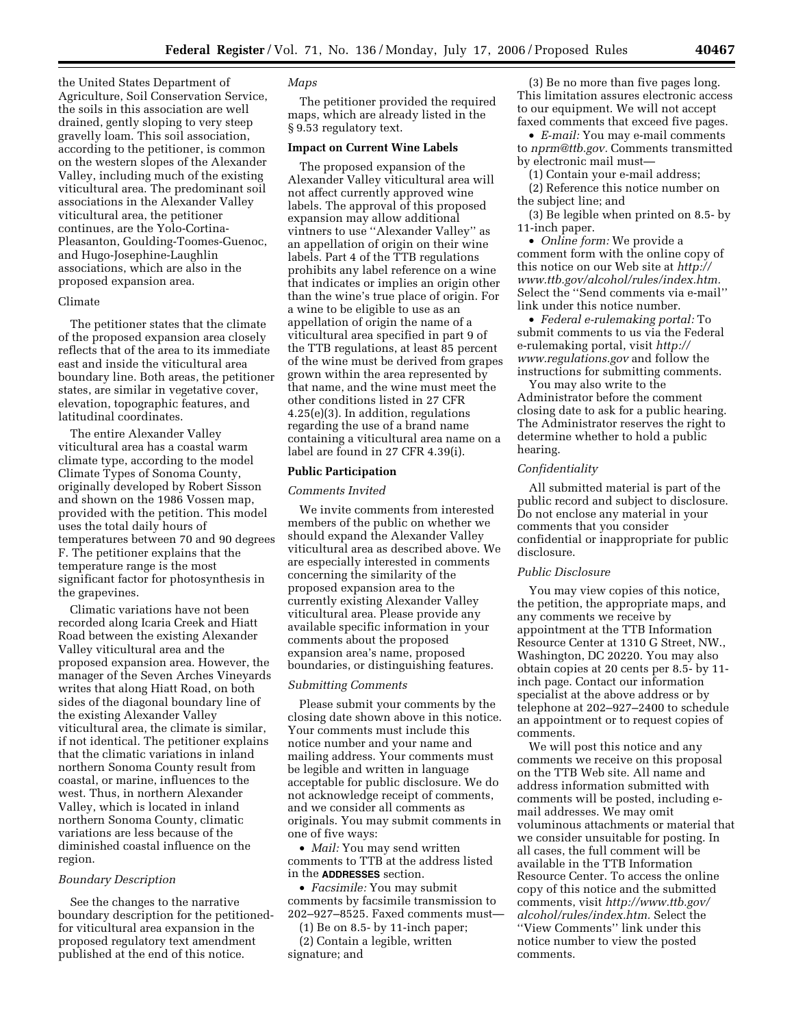the United States Department of Agriculture, Soil Conservation Service, the soils in this association are well drained, gently sloping to very steep gravelly loam. This soil association, according to the petitioner, is common on the western slopes of the Alexander Valley, including much of the existing viticultural area. The predominant soil associations in the Alexander Valley viticultural area, the petitioner continues, are the Yolo-Cortina-Pleasanton, Goulding-Toomes-Guenoc, and Hugo-Josephine-Laughlin associations, which are also in the proposed expansion area.

### Climate

The petitioner states that the climate of the proposed expansion area closely reflects that of the area to its immediate east and inside the viticultural area boundary line. Both areas, the petitioner states, are similar in vegetative cover, elevation, topographic features, and latitudinal coordinates.

The entire Alexander Valley viticultural area has a coastal warm climate type, according to the model Climate Types of Sonoma County, originally developed by Robert Sisson and shown on the 1986 Vossen map, provided with the petition. This model uses the total daily hours of temperatures between 70 and 90 degrees F. The petitioner explains that the temperature range is the most significant factor for photosynthesis in the grapevines.

Climatic variations have not been recorded along Icaria Creek and Hiatt Road between the existing Alexander Valley viticultural area and the proposed expansion area. However, the manager of the Seven Arches Vineyards writes that along Hiatt Road, on both sides of the diagonal boundary line of the existing Alexander Valley viticultural area, the climate is similar, if not identical. The petitioner explains that the climatic variations in inland northern Sonoma County result from coastal, or marine, influences to the west. Thus, in northern Alexander Valley, which is located in inland northern Sonoma County, climatic variations are less because of the diminished coastal influence on the region.

### *Boundary Description*

See the changes to the narrative boundary description for the petitionedfor viticultural area expansion in the proposed regulatory text amendment published at the end of this notice.

# *Maps*

The petitioner provided the required maps, which are already listed in the § 9.53 regulatory text.

## **Impact on Current Wine Labels**

The proposed expansion of the Alexander Valley viticultural area will not affect currently approved wine labels. The approval of this proposed expansion may allow additional vintners to use ''Alexander Valley'' as an appellation of origin on their wine labels. Part 4 of the TTB regulations prohibits any label reference on a wine that indicates or implies an origin other than the wine's true place of origin. For a wine to be eligible to use as an appellation of origin the name of a viticultural area specified in part 9 of the TTB regulations, at least 85 percent of the wine must be derived from grapes grown within the area represented by that name, and the wine must meet the other conditions listed in 27 CFR 4.25(e)(3). In addition, regulations regarding the use of a brand name containing a viticultural area name on a label are found in 27 CFR 4.39(i).

### **Public Participation**

### *Comments Invited*

We invite comments from interested members of the public on whether we should expand the Alexander Valley viticultural area as described above. We are especially interested in comments concerning the similarity of the proposed expansion area to the currently existing Alexander Valley viticultural area. Please provide any available specific information in your comments about the proposed expansion area's name, proposed boundaries, or distinguishing features.

#### *Submitting Comments*

Please submit your comments by the closing date shown above in this notice. Your comments must include this notice number and your name and mailing address. Your comments must be legible and written in language acceptable for public disclosure. We do not acknowledge receipt of comments, and we consider all comments as originals. You may submit comments in one of five ways:

• *Mail:* You may send written comments to TTB at the address listed in the **ADDRESSES** section.

• *Facsimile:* You may submit comments by facsimile transmission to 202–927–8525. Faxed comments must—

(1) Be on 8.5- by 11-inch paper;

(2) Contain a legible, written signature; and

(3) Be no more than five pages long. This limitation assures electronic access to our equipment. We will not accept faxed comments that exceed five pages.

• *E-mail:* You may e-mail comments to *nprm@ttb.gov.* Comments transmitted by electronic mail must—

(1) Contain your e-mail address;

(2) Reference this notice number on the subject line; and

(3) Be legible when printed on 8.5- by 11-inch paper.

• *Online form:* We provide a comment form with the online copy of this notice on our Web site at *http:// www.ttb.gov/alcohol/rules/index.htm.*  Select the ''Send comments via e-mail'' link under this notice number.

• *Federal e-rulemaking portal:* To submit comments to us via the Federal e-rulemaking portal, visit *http:// www.regulations.gov* and follow the instructions for submitting comments.

You may also write to the Administrator before the comment closing date to ask for a public hearing. The Administrator reserves the right to determine whether to hold a public hearing.

## *Confidentiality*

All submitted material is part of the public record and subject to disclosure. Do not enclose any material in your comments that you consider confidential or inappropriate for public disclosure.

### *Public Disclosure*

You may view copies of this notice, the petition, the appropriate maps, and any comments we receive by appointment at the TTB Information Resource Center at 1310 G Street, NW., Washington, DC 20220. You may also obtain copies at 20 cents per 8.5- by 11 inch page. Contact our information specialist at the above address or by telephone at 202–927–2400 to schedule an appointment or to request copies of comments.

We will post this notice and any comments we receive on this proposal on the TTB Web site. All name and address information submitted with comments will be posted, including email addresses. We may omit voluminous attachments or material that we consider unsuitable for posting. In all cases, the full comment will be available in the TTB Information Resource Center. To access the online copy of this notice and the submitted comments, visit *http://www.ttb.gov/ alcohol/rules/index.htm.* Select the ''View Comments'' link under this notice number to view the posted comments.